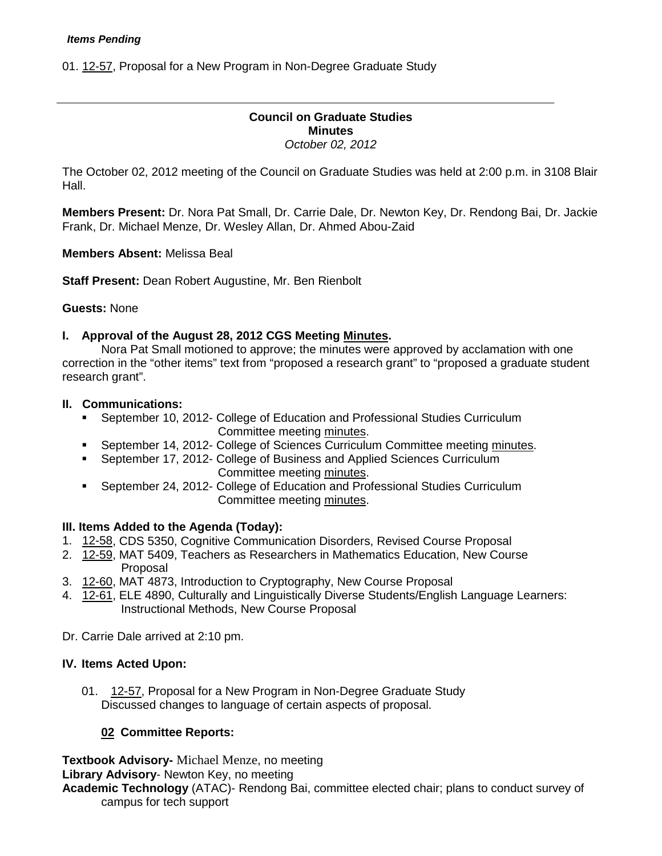01. [12-57,](http://castle.eiu.edu/~eiucgs/currentagendaitems/agenda12-57.pdf) Proposal for a New Program in Non-Degree Graduate Study

# **Council on Graduate Studies Minutes** *October 02, 2012*

The October 02, 2012 meeting of the Council on Graduate Studies was held at 2:00 p.m. in 3108 Blair Hall.

**Members Present:** Dr. Nora Pat Small, Dr. Carrie Dale, Dr. Newton Key, Dr. Rendong Bai, Dr. Jackie Frank, Dr. Michael Menze, Dr. Wesley Allan, Dr. Ahmed Abou-Zaid

**Members Absent:** Melissa Beal

**Staff Present:** Dean Robert Augustine, Mr. Ben Rienbolt

### **Guests:** None

### **I. Approval of the August 28, 2012 CGS Meeting [Minutes.](http://castle.eiu.edu/eiucgs/currentminutes/Minutes4-24-12.pdf)**

Nora Pat Small motioned to approve; the minutes were approved by acclamation with one correction in the "other items" text from "proposed a research grant" to "proposed a graduate student research grant".

### **II. Communications:**

- September 10, 2012- College of Education and Professional Studies Curriculum Committee meeting [minutes.](http://castle.eiu.edu/~eiucgs/currentagendaitems/CEPSMin9-10-12.pdf)
- September 14, 2012- College of Sciences Curriculum Committee meeting [minutes.](http://castle.eiu.edu/~eiucgs/currentagendaitems/COSMin9-14-12.pdf)
- September 17, 2012- College of Business and Applied Sciences Curriculum Committee meeting [minutes.](http://castle.eiu.edu/~eiucgs/currentagendaitems/LCBASMin9-17-12.pdf)
- September 24, 2012- College of Education and Professional Studies Curriculum Committee meeting [minutes.](http://castle.eiu.edu/~eiucgs/currentagendaitems/CEPSMin9-24-12.pdf)

# **III. Items Added to the Agenda (Today):**

- 1. [12-58,](http://castle.eiu.edu/~eiucgs/currentagendaitems/agenda12-58.pdf) CDS 5350, Cognitive Communication Disorders, Revised Course Proposal
- 2. [12-59,](http://castle.eiu.edu/~eiucgs/currentagendaitems/agenda12-59.pdf) MAT 5409, Teachers as Researchers in Mathematics Education, New Course Proposal
- 3. [12-60,](http://castle.eiu.edu/~eiucgs/currentagendaitems/agenda12-60.pdf) MAT 4873, Introduction to Cryptography, New Course Proposal
- 4. [12-61,](http://castle.eiu.edu/~eiucgs/currentagendaitems/agenda12-61.pdf) ELE 4890, Culturally and Linguistically Diverse Students/English Language Learners: Instructional Methods, New Course Proposal

Dr. Carrie Dale arrived at 2:10 pm.

# **IV. Items Acted Upon:**

01. [12-57,](http://castle.eiu.edu/~eiucgs/currentagendaitems/agenda12-57.pdf) Proposal for a New Program in Non-Degree Graduate Study Discussed changes to language of certain aspects of proposal.

# **02 Committee Reports:**

**Textbook Advisory-** Michael Menze, no meeting **Library Advisory**- Newton Key, no meeting **Academic Technology** (ATAC)- Rendong Bai, committee elected chair; plans to conduct survey of campus for tech support